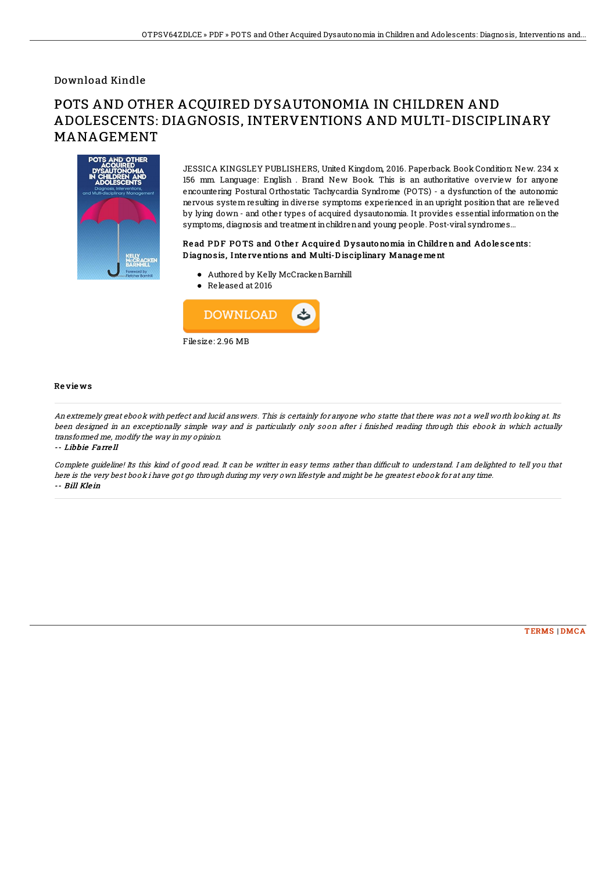## Download Kindle

# POTS AND OTHER ACQUIRED DYSAUTONOMIA IN CHILDREN AND ADOLESCENTS: DIAGNOSIS, INTERVENTIONS AND MULTI-DISCIPLINARY MANAGEMENT



JESSICA KINGSLEY PUBLISHERS, United Kingdom, 2016. Paperback. Book Condition: New. 234 x 156 mm. Language: English . Brand New Book. This is an authoritative overview for anyone encountering Postural Orthostatic Tachycardia Syndrome (POTS) - a dysfunction of the autonomic nervous system resulting in diverse symptoms experienced in an upright position that are relieved by lying down - and other types of acquired dysautonomia. It provides essential information on the symptoms, diagnosis and treatment inchildrenand young people. Post-viral syndromes...

### Read PDF POTS and Other Acquired Dysautonomia in Children and Adolescents: D iagno sis, Inte rve ntions and Multi-D isciplinary Manage me nt

- Authored by Kelly McCrackenBarnhill
- Released at 2016



#### Re vie ws

An extremely great ebook with perfect and lucid answers. This is certainly for anyone who statte that there was not <sup>a</sup> well worth looking at. Its been designed in an exceptionally simple way and is particularly only soon after i finished reading through this ebook in which actually transformed me, modify the way in my opinion.

-- Libbie Farre ll

Complete quideline! Its this kind of good read. It can be writter in easy terms rather than difficult to understand. I am delighted to tell you that here is the very best book i have got go through during my very own lifestyle and might be he greatest ebook for at any time. -- Bill Klein